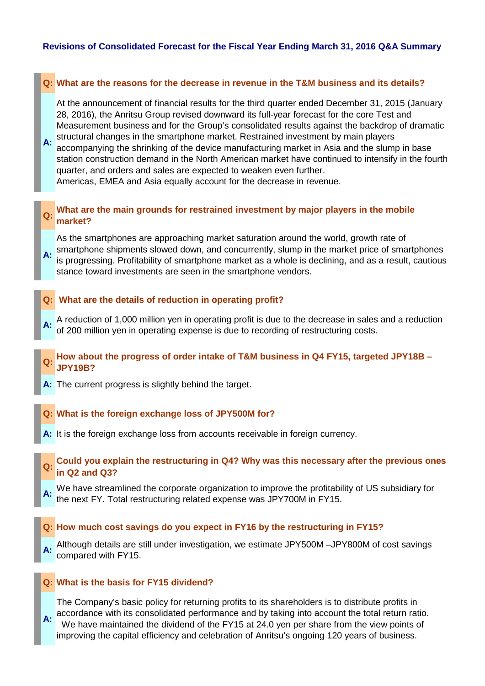## **Q: What are the reasons for the decrease in revenue in the T&M business and its details?**

At the announcement of financial results for the third quarter ended December 31, 2015 (January 28, 2016), the Anritsu Group revised downward its full-year forecast for the core Test and Measurement business and for the Group's consolidated results against the backdrop of dramatic

**A:** structural changes in the smartphone market. Restrained investment by main players<br>**A:** essempenting the obvioling of the dovise manufacturing market in Asia and the slum accompanying the shrinking of the device manufacturing market in Asia and the slump in base station construction demand in the North American market have continued to intensify in the fourth quarter, and orders and sales are expected to weaken even further. Americas, EMEA and Asia equally account for the decrease in revenue.

# **Q:** What are the main grounds for restrained investment by major players in the mobile **market?**

**A:** As the smartphones are approaching market saturation around the world, growth rate of smartphone shipments slowed down, and concurrently, slump in the market price of smartphones is progressing. Profitability of smartphone market as a whole is declining, and as a result, cautious stance toward investments are seen in the smartphone vendors.

#### **Q: What are the details of reduction in operating profit?**

- **A:** A reduction of 1,000 million yen in operating profit is due to the decrease in sales and a reduction of 200 million yen in operating expense is due to recording of restructuring costs.
- **Q: How about the progress of order intake of T&M business in Q4 FY15, targeted JPY18B – JPY19B?**
- **A:** The current progress is slightly behind the target.

#### **Q: What is the foreign exchange loss of JPY500M for?**

- **A:** It is the foreign exchange loss from accounts receivable in foreign currency.
- **Q: Could you explain the restructuring in Q4? Why was this necessary after the previous ones in Q2 and Q3?**
- **A:** We have streamlined the corporate organization to improve the profitability of US subsidiary for the next FY. Total restructuring related expense was JPY700M in FY15.

#### **Q: How much cost savings do you expect in FY16 by the restructuring in FY15?**

A: Although details are still under investigation, we estimate JPY500M –JPY800M of cost savings compared with FY15.

#### **Q: What is the basis for FY15 dividend?**

**A:** The Company's basic policy for returning profits to its shareholders is to distribute profits in accordance with its consolidated performance and by taking into account the total return ratio. We have maintained the dividend of the FY15 at 24.0 yen per share from the view points of improving the capital efficiency and celebration of Anritsu's ongoing 120 years of business.